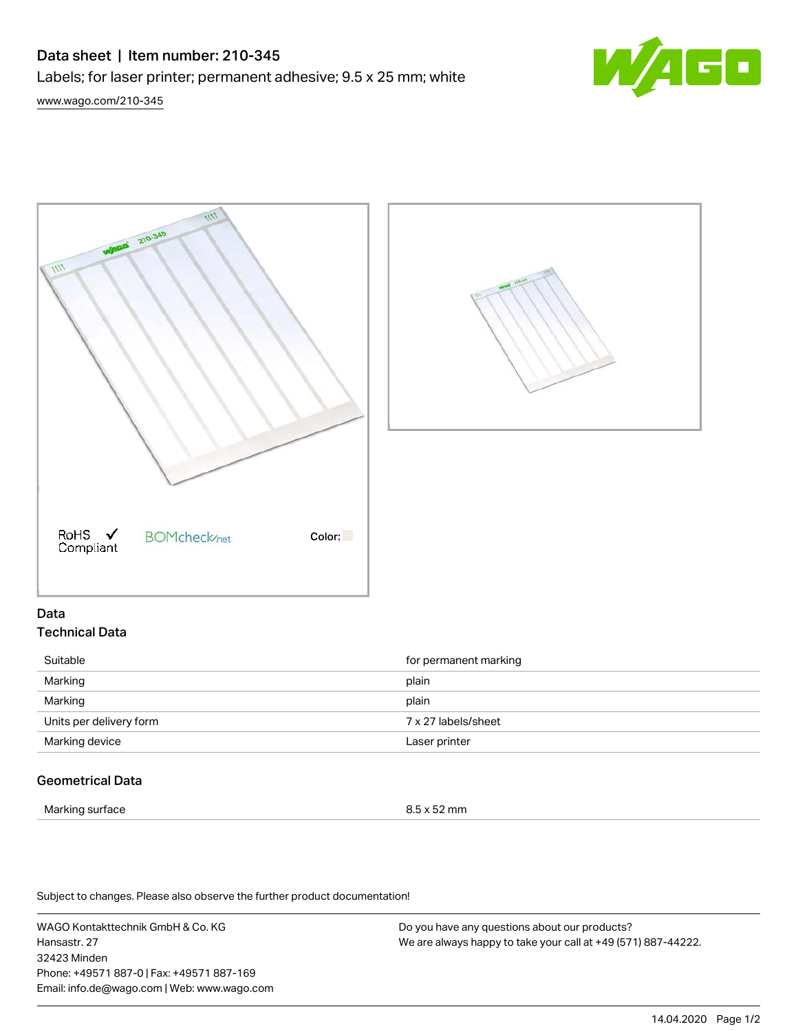# Data sheet | Item number: 210-345

Labels; for laser printer; permanent adhesive; 9.5 x 25 mm; white







## Data Technical Data

| Suitable                | for permanent marking |
|-------------------------|-----------------------|
| Marking                 | plain                 |
| Marking                 | plain                 |
| Units per delivery form | 7 x 27 labels/sheet   |
| Marking device          | Laser printer         |
|                         |                       |

# Geometrical Data

Marking surface 8.5 x 52 mm

Subject to changes. Please also observe the further product documentation!

WAGO Kontakttechnik GmbH & Co. KG Hansastr. 27 32423 Minden Phone: +49571 887-0 | Fax: +49571 887-169 Email: info.de@wago.com | Web: www.wago.com

Do you have any questions about our products? We are always happy to take your call at +49 (571) 887-44222.